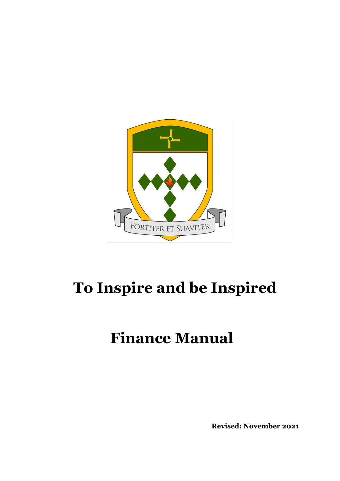

# **To Inspire and be Inspired**

# **Finance Manual**

**Revised: November 2021**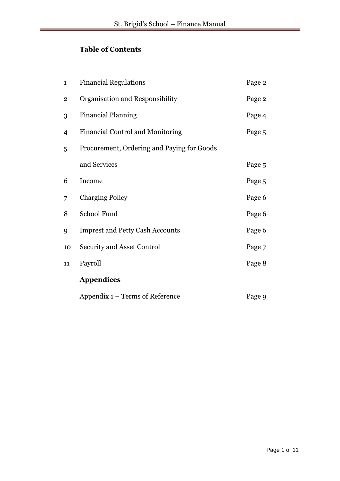# **Table of Contents**

| $\mathbf{1}$   | <b>Financial Regulations</b>               | Page 2 |
|----------------|--------------------------------------------|--------|
| $\overline{2}$ | Organisation and Responsibility            | Page 2 |
| 3              | <b>Financial Planning</b>                  | Page 4 |
| 4              | <b>Financial Control and Monitoring</b>    | Page 5 |
| 5              | Procurement, Ordering and Paying for Goods |        |
|                | and Services                               | Page 5 |
| 6              | Income                                     | Page 5 |
| 7              | <b>Charging Policy</b>                     | Page 6 |
| 8              | School Fund                                | Page 6 |
| 9              | <b>Imprest and Petty Cash Accounts</b>     | Page 6 |
| 10             | <b>Security and Asset Control</b>          | Page 7 |
| 11             | Payroll                                    | Page 8 |
|                | <b>Appendices</b>                          |        |
|                | Appendix 1 – Terms of Reference            | Page 9 |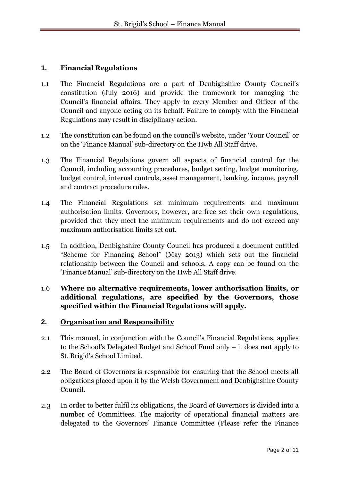# **1. Financial Regulations**

- 1.1 The Financial Regulations are a part of Denbighshire County Council's constitution (July 2016) and provide the framework for managing the Council's financial affairs. They apply to every Member and Officer of the Council and anyone acting on its behalf. Failure to comply with the Financial Regulations may result in disciplinary action.
- 1.2 The constitution can be found on the council's website, under 'Your Council' or on the 'Finance Manual' sub-directory on the Hwb All Staff drive.
- 1.3 The Financial Regulations govern all aspects of financial control for the Council, including accounting procedures, budget setting, budget monitoring, budget control, internal controls, asset management, banking, income, payroll and contract procedure rules.
- 1.4 The Financial Regulations set minimum requirements and maximum authorisation limits. Governors, however, are free set their own regulations, provided that they meet the minimum requirements and do not exceed any maximum authorisation limits set out.
- 1.5 In addition, Denbighshire County Council has produced a document entitled "Scheme for Financing School" (May 2013) which sets out the financial relationship between the Council and schools. A copy can be found on the 'Finance Manual' sub-directory on the Hwb All Staff drive.
- 1.6 **Where no alternative requirements, lower authorisation limits, or additional regulations, are specified by the Governors, those specified within the Financial Regulations will apply.**

# **2. Organisation and Responsibility**

- 2.1 This manual, in conjunction with the Council's Financial Regulations, applies to the School's Delegated Budget and School Fund only – it does **not** apply to St. Brigid's School Limited.
- 2.2 The Board of Governors is responsible for ensuring that the School meets all obligations placed upon it by the Welsh Government and Denbighshire County Council.
- 2.3 In order to better fulfil its obligations, the Board of Governors is divided into a number of Committees. The majority of operational financial matters are delegated to the Governors' Finance Committee (Please refer the Finance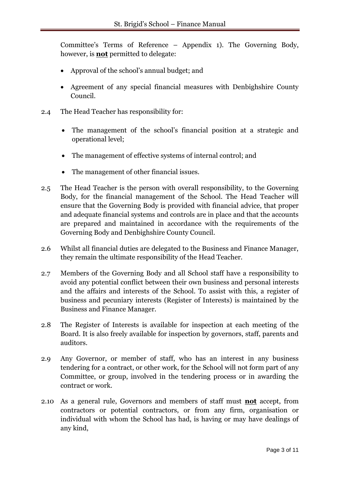Committee's Terms of Reference – Appendix 1). The Governing Body, however, is **not** permitted to delegate:

- Approval of the school's annual budget; and
- Agreement of any special financial measures with Denbighshire County Council.
- 2.4 The Head Teacher has responsibility for:
	- The management of the school's financial position at a strategic and operational level;
	- The management of effective systems of internal control; and
	- The management of other financial issues.
- 2.5 The Head Teacher is the person with overall responsibility, to the Governing Body, for the financial management of the School. The Head Teacher will ensure that the Governing Body is provided with financial advice, that proper and adequate financial systems and controls are in place and that the accounts are prepared and maintained in accordance with the requirements of the Governing Body and Denbighshire County Council.
- 2.6 Whilst all financial duties are delegated to the Business and Finance Manager, they remain the ultimate responsibility of the Head Teacher.
- 2.7 Members of the Governing Body and all School staff have a responsibility to avoid any potential conflict between their own business and personal interests and the affairs and interests of the School. To assist with this, a register of business and pecuniary interests (Register of Interests) is maintained by the Business and Finance Manager.
- 2.8 The Register of Interests is available for inspection at each meeting of the Board. It is also freely available for inspection by governors, staff, parents and auditors.
- 2.9 Any Governor, or member of staff, who has an interest in any business tendering for a contract, or other work, for the School will not form part of any Committee, or group, involved in the tendering process or in awarding the contract or work.
- 2.10 As a general rule, Governors and members of staff must **not** accept, from contractors or potential contractors, or from any firm, organisation or individual with whom the School has had, is having or may have dealings of any kind,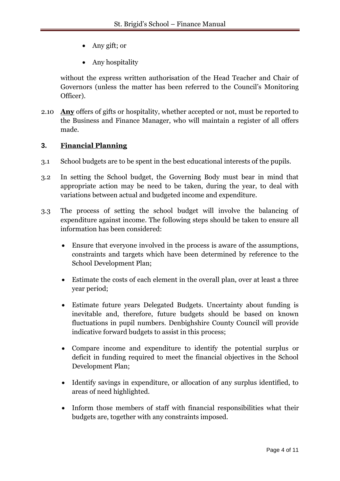- Any gift; or
- Any hospitality

without the express written authorisation of the Head Teacher and Chair of Governors (unless the matter has been referred to the Council's Monitoring Officer).

2.10 **Any** offers of gifts or hospitality, whether accepted or not, must be reported to the Business and Finance Manager, who will maintain a register of all offers made.

# **3. Financial Planning**

- 3.1 School budgets are to be spent in the best educational interests of the pupils.
- 3.2 In setting the School budget, the Governing Body must bear in mind that appropriate action may be need to be taken, during the year, to deal with variations between actual and budgeted income and expenditure.
- 3.3 The process of setting the school budget will involve the balancing of expenditure against income. The following steps should be taken to ensure all information has been considered:
	- Ensure that everyone involved in the process is aware of the assumptions, constraints and targets which have been determined by reference to the School Development Plan;
	- Estimate the costs of each element in the overall plan, over at least a three year period;
	- Estimate future years Delegated Budgets. Uncertainty about funding is inevitable and, therefore, future budgets should be based on known fluctuations in pupil numbers. Denbighshire County Council will provide indicative forward budgets to assist in this process;
	- Compare income and expenditure to identify the potential surplus or deficit in funding required to meet the financial objectives in the School Development Plan;
	- Identify savings in expenditure, or allocation of any surplus identified, to areas of need highlighted.
	- Inform those members of staff with financial responsibilities what their budgets are, together with any constraints imposed.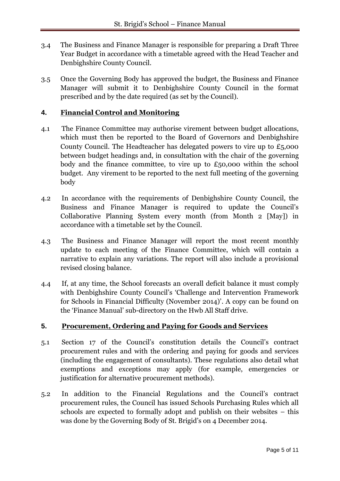- 3.4 The Business and Finance Manager is responsible for preparing a Draft Three Year Budget in accordance with a timetable agreed with the Head Teacher and Denbighshire County Council.
- 3.5 Once the Governing Body has approved the budget, the Business and Finance Manager will submit it to Denbighshire County Council in the format prescribed and by the date required (as set by the Council).

# **4. Financial Control and Monitoring**

- 4.1 The Finance Committee may authorise virement between budget allocations, which must then be reported to the Board of Governors and Denbighshire County Council. The Headteacher has delegated powers to vire up to £5,000 between budget headings and, in consultation with the chair of the governing body and the finance committee, to vire up to  $£50,000$  within the school budget. Any virement to be reported to the next full meeting of the governing body
- 4.2 In accordance with the requirements of Denbighshire County Council, the Business and Finance Manager is required to update the Council's Collaborative Planning System every month (from Month 2 [May]) in accordance with a timetable set by the Council.
- 4.3 The Business and Finance Manager will report the most recent monthly update to each meeting of the Finance Committee, which will contain a narrative to explain any variations. The report will also include a provisional revised closing balance.
- 4.4 If, at any time, the School forecasts an overall deficit balance it must comply with Denbighshire County Council's 'Challenge and Intervention Framework for Schools in Financial Difficulty (November 2014)'. A copy can be found on the 'Finance Manual' sub-directory on the Hwb All Staff drive.

# **5. Procurement, Ordering and Paying for Goods and Services**

- 5.1 Section 17 of the Council's constitution details the Council's contract procurement rules and with the ordering and paying for goods and services (including the engagement of consultants). These regulations also detail what exemptions and exceptions may apply (for example, emergencies or justification for alternative procurement methods).
- 5.2 In addition to the Financial Regulations and the Council's contract procurement rules, the Council has issued Schools Purchasing Rules which all schools are expected to formally adopt and publish on their websites – this was done by the Governing Body of St. Brigid's on 4 December 2014.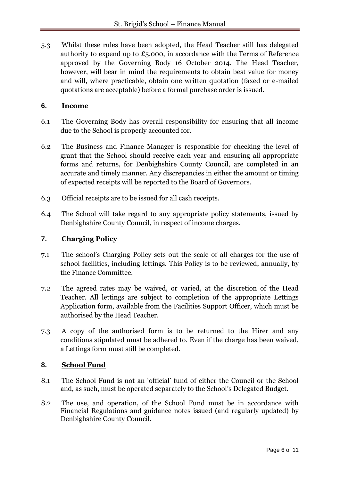5.3 Whilst these rules have been adopted, the Head Teacher still has delegated authority to expend up to £5,000, in accordance with the Terms of Reference approved by the Governing Body 16 October 2014. The Head Teacher, however, will bear in mind the requirements to obtain best value for money and will, where practicable, obtain one written quotation (faxed or e-mailed quotations are acceptable) before a formal purchase order is issued.

# **6. Income**

- 6.1 The Governing Body has overall responsibility for ensuring that all income due to the School is properly accounted for.
- 6.2 The Business and Finance Manager is responsible for checking the level of grant that the School should receive each year and ensuring all appropriate forms and returns, for Denbighshire County Council, are completed in an accurate and timely manner. Any discrepancies in either the amount or timing of expected receipts will be reported to the Board of Governors.
- 6.3 Official receipts are to be issued for all cash receipts.
- 6.4 The School will take regard to any appropriate policy statements, issued by Denbighshire County Council, in respect of income charges.

# **7. Charging Policy**

- 7.1 The school's Charging Policy sets out the scale of all charges for the use of school facilities, including lettings. This Policy is to be reviewed, annually, by the Finance Committee.
- 7.2 The agreed rates may be waived, or varied, at the discretion of the Head Teacher. All lettings are subject to completion of the appropriate Lettings Application form, available from the Facilities Support Officer, which must be authorised by the Head Teacher.
- 7.3 A copy of the authorised form is to be returned to the Hirer and any conditions stipulated must be adhered to. Even if the charge has been waived, a Lettings form must still be completed.

# **8. School Fund**

- 8.1 The School Fund is not an 'official' fund of either the Council or the School and, as such, must be operated separately to the School's Delegated Budget.
- 8.2 The use, and operation, of the School Fund must be in accordance with Financial Regulations and guidance notes issued (and regularly updated) by Denbighshire County Council.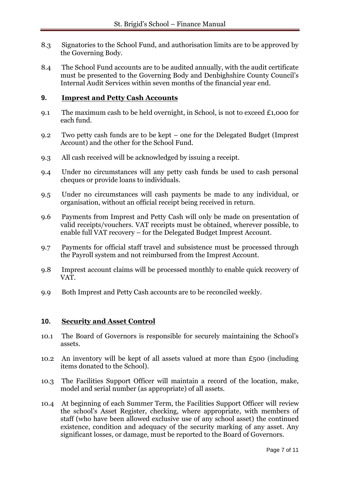- 8.3 Signatories to the School Fund, and authorisation limits are to be approved by the Governing Body.
- 8.4 The School Fund accounts are to be audited annually, with the audit certificate must be presented to the Governing Body and Denbighshire County Council's Internal Audit Services within seven months of the financial year end.

# **9. Imprest and Petty Cash Accounts**

- 9.1 The maximum cash to be held overnight, in School, is not to exceed  $\pounds$ 1,000 for each fund.
- 9.2 Two petty cash funds are to be kept one for the Delegated Budget (Imprest Account) and the other for the School Fund.
- 9.3 All cash received will be acknowledged by issuing a receipt.
- 9.4 Under no circumstances will any petty cash funds be used to cash personal cheques or provide loans to individuals.
- 9.5 Under no circumstances will cash payments be made to any individual, or organisation, without an official receipt being received in return.
- 9.6 Payments from Imprest and Petty Cash will only be made on presentation of valid receipts/vouchers. VAT receipts must be obtained, wherever possible, to enable full VAT recovery – for the Delegated Budget Imprest Account.
- 9.7 Payments for official staff travel and subsistence must be processed through the Payroll system and not reimbursed from the Imprest Account.
- 9.8 Imprest account claims will be processed monthly to enable quick recovery of VAT.
- 9.9 Both Imprest and Petty Cash accounts are to be reconciled weekly.

# **10. Security and Asset Control**

- 10.1 The Board of Governors is responsible for securely maintaining the School's assets.
- 10.2 An inventory will be kept of all assets valued at more than  $\epsilon_{500}$  (including items donated to the School).
- 10.3 The Facilities Support Officer will maintain a record of the location, make, model and serial number (as appropriate) of all assets.
- 10.4 At beginning of each Summer Term, the Facilities Support Officer will review the school's Asset Register, checking, where appropriate, with members of staff (who have been allowed exclusive use of any school asset) the continued existence, condition and adequacy of the security marking of any asset. Any significant losses, or damage, must be reported to the Board of Governors.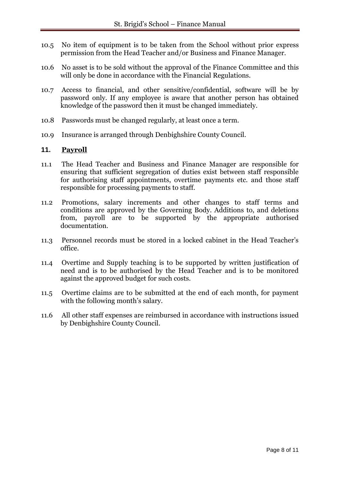- 10.5 No item of equipment is to be taken from the School without prior express permission from the Head Teacher and/or Business and Finance Manager.
- 10.6 No asset is to be sold without the approval of the Finance Committee and this will only be done in accordance with the Financial Regulations.
- 10.7 Access to financial, and other sensitive/confidential, software will be by password only. If any employee is aware that another person has obtained knowledge of the password then it must be changed immediately.
- 10.8 Passwords must be changed regularly, at least once a term.
- 10.9 Insurance is arranged through Denbighshire County Council.

#### **11. Payroll**

- 11.1 The Head Teacher and Business and Finance Manager are responsible for ensuring that sufficient segregation of duties exist between staff responsible for authorising staff appointments, overtime payments etc. and those staff responsible for processing payments to staff.
- 11.2 Promotions, salary increments and other changes to staff terms and conditions are approved by the Governing Body. Additions to, and deletions from, payroll are to be supported by the appropriate authorised documentation.
- 11.3 Personnel records must be stored in a locked cabinet in the Head Teacher's office.
- 11.4 Overtime and Supply teaching is to be supported by written justification of need and is to be authorised by the Head Teacher and is to be monitored against the approved budget for such costs.
- 11.5 Overtime claims are to be submitted at the end of each month, for payment with the following month's salary.
- 11.6 All other staff expenses are reimbursed in accordance with instructions issued by Denbighshire County Council.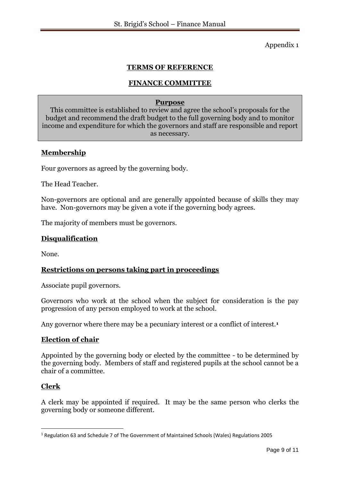Appendix 1

# **TERMS OF REFERENCE**

# **FINANCE COMMITTEE**

#### **Purpose**

This committee is established to review and agree the school's proposals for the budget and recommend the draft budget to the full governing body and to monitor income and expenditure for which the governors and staff are responsible and report as necessary.

# **Membership**

Four governors as agreed by the governing body.

The Head Teacher.

Non-governors are optional and are generally appointed because of skills they may have. Non-governors may be given a vote if the governing body agrees.

The majority of members must be governors.

# **Disqualification**

None.

# **Restrictions on persons taking part in proceedings**

Associate pupil governors.

Governors who work at the school when the subject for consideration is the pay progression of any person employed to work at the school.

Any governor where there may be a pecuniary interest or a conflict of interest.**<sup>1</sup>**

# **Election of chair**

Appointed by the governing body or elected by the committee - to be determined by the governing body. Members of staff and registered pupils at the school cannot be a chair of a committee.

#### **Clerk**

1

A clerk may be appointed if required. It may be the same person who clerks the governing body or someone different.

<sup>1</sup> Regulation 63 and Schedule 7 of The Government of Maintained Schools (Wales) Regulations 2005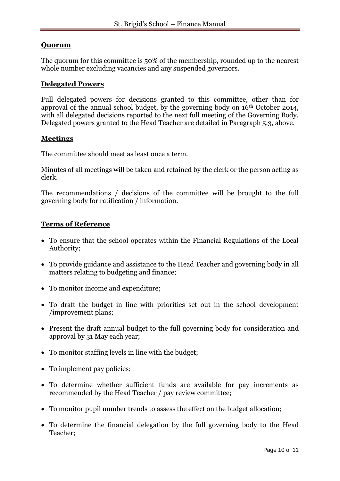# **Quorum**

The quorum for this committee is 50% of the membership, rounded up to the nearest whole number excluding vacancies and any suspended governors.

#### **Delegated Powers**

Full delegated powers for decisions granted to this committee, other than for approval of the annual school budget, by the governing body on 16th October 2014, with all delegated decisions reported to the next full meeting of the Governing Body. Delegated powers granted to the Head Teacher are detailed in Paragraph 5.3, above.

# **Meetings**

The committee should meet as least once a term.

Minutes of all meetings will be taken and retained by the clerk or the person acting as clerk.

The recommendations / decisions of the committee will be brought to the full governing body for ratification / information.

#### **Terms of Reference**

- To ensure that the school operates within the Financial Regulations of the Local Authority;
- To provide guidance and assistance to the Head Teacher and governing body in all matters relating to budgeting and finance;
- To monitor income and expenditure;
- To draft the budget in line with priorities set out in the school development /improvement plans;
- Present the draft annual budget to the full governing body for consideration and approval by 31 May each year;
- To monitor staffing levels in line with the budget;
- To implement pay policies;
- To determine whether sufficient funds are available for pay increments as recommended by the Head Teacher / pay review committee;
- To monitor pupil number trends to assess the effect on the budget allocation;
- To determine the financial delegation by the full governing body to the Head Teacher;